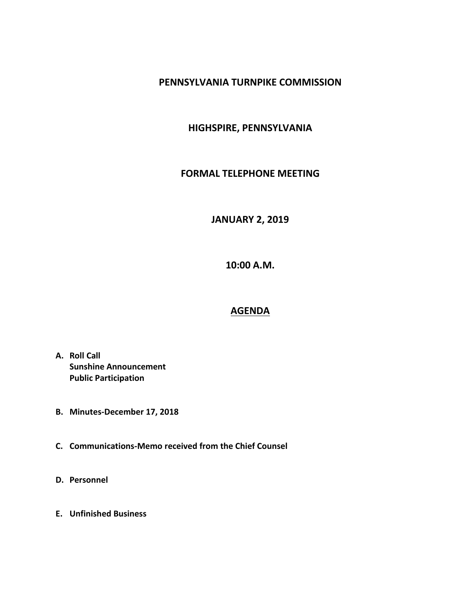#### **PENNSYLVANIA TURNPIKE COMMISSION**

### **HIGHSPIRE, PENNSYLVANIA**

#### **FORMAL TELEPHONE MEETING**

## **JANUARY 2, 2019**

**10:00 A.M.**

# **AGENDA**

- **A. Roll Call Sunshine Announcement Public Participation**
- **B. Minutes-December 17, 2018**
- **C. Communications-Memo received from the Chief Counsel**
- **D. Personnel**
- **E. Unfinished Business**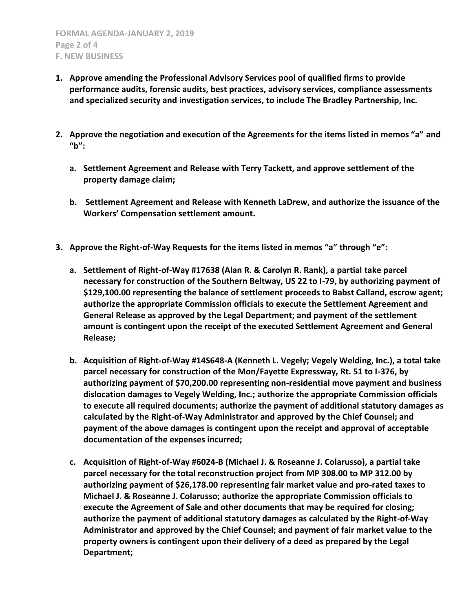- **1. Approve amending the Professional Advisory Services pool of qualified firms to provide performance audits, forensic audits, best practices, advisory services, compliance assessments and specialized security and investigation services, to include The Bradley Partnership, Inc.**
- **2. Approve the negotiation and execution of the Agreements for the items listed in memos "a" and "b":**
	- **a. Settlement Agreement and Release with Terry Tackett, and approve settlement of the property damage claim;**
	- **b. Settlement Agreement and Release with Kenneth LaDrew, and authorize the issuance of the Workers' Compensation settlement amount.**
- **3. Approve the Right-of-Way Requests for the items listed in memos "a" through "e":**
	- **a. Settlement of Right-of-Way #17638 (Alan R. & Carolyn R. Rank), a partial take parcel necessary for construction of the Southern Beltway, US 22 to I-79, by authorizing payment of \$129,100.00 representing the balance of settlement proceeds to Babst Calland, escrow agent; authorize the appropriate Commission officials to execute the Settlement Agreement and General Release as approved by the Legal Department; and payment of the settlement amount is contingent upon the receipt of the executed Settlement Agreement and General Release;**
	- **b. Acquisition of Right-of-Way #14S648-A (Kenneth L. Vegely; Vegely Welding, Inc.), a total take parcel necessary for construction of the Mon/Fayette Expressway, Rt. 51 to I-376, by authorizing payment of \$70,200.00 representing non-residential move payment and business dislocation damages to Vegely Welding, Inc.; authorize the appropriate Commission officials to execute all required documents; authorize the payment of additional statutory damages as calculated by the Right-of-Way Administrator and approved by the Chief Counsel; and payment of the above damages is contingent upon the receipt and approval of acceptable documentation of the expenses incurred;**
	- **c. Acquisition of Right-of-Way #6024-B (Michael J. & Roseanne J. Colarusso), a partial take parcel necessary for the total reconstruction project from MP 308.00 to MP 312.00 by authorizing payment of \$26,178.00 representing fair market value and pro-rated taxes to Michael J. & Roseanne J. Colarusso; authorize the appropriate Commission officials to execute the Agreement of Sale and other documents that may be required for closing; authorize the payment of additional statutory damages as calculated by the Right-of-Way Administrator and approved by the Chief Counsel; and payment of fair market value to the property owners is contingent upon their delivery of a deed as prepared by the Legal Department;**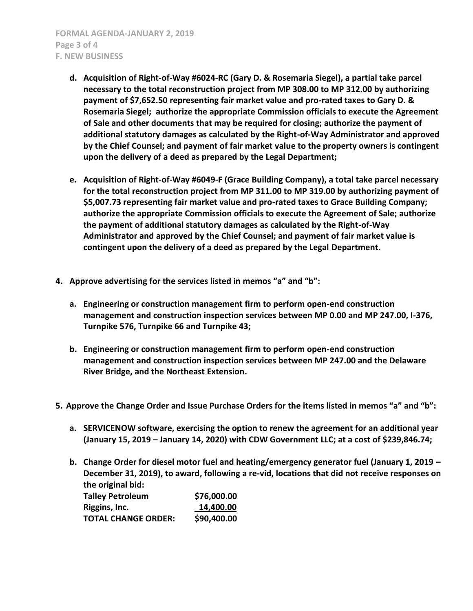- **d. Acquisition of Right-of-Way #6024-RC (Gary D. & Rosemaria Siegel), a partial take parcel necessary to the total reconstruction project from MP 308.00 to MP 312.00 by authorizing payment of \$7,652.50 representing fair market value and pro-rated taxes to Gary D. & Rosemaria Siegel; authorize the appropriate Commission officials to execute the Agreement of Sale and other documents that may be required for closing; authorize the payment of additional statutory damages as calculated by the Right-of-Way Administrator and approved by the Chief Counsel; and payment of fair market value to the property owners is contingent upon the delivery of a deed as prepared by the Legal Department;**
- **e. Acquisition of Right-of-Way #6049-F (Grace Building Company), a total take parcel necessary for the total reconstruction project from MP 311.00 to MP 319.00 by authorizing payment of \$5,007.73 representing fair market value and pro-rated taxes to Grace Building Company; authorize the appropriate Commission officials to execute the Agreement of Sale; authorize the payment of additional statutory damages as calculated by the Right-of-Way Administrator and approved by the Chief Counsel; and payment of fair market value is contingent upon the delivery of a deed as prepared by the Legal Department.**
- **4. Approve advertising for the services listed in memos "a" and "b":**
	- **a. Engineering or construction management firm to perform open-end construction management and construction inspection services between MP 0.00 and MP 247.00, I-376, Turnpike 576, Turnpike 66 and Turnpike 43;**
	- **b. Engineering or construction management firm to perform open-end construction management and construction inspection services between MP 247.00 and the Delaware River Bridge, and the Northeast Extension.**
- **5. Approve the Change Order and Issue Purchase Orders for the items listed in memos "a" and "b":**
	- **a. SERVICENOW software, exercising the option to renew the agreement for an additional year (January 15, 2019 – January 14, 2020) with CDW Government LLC; at a cost of \$239,846.74;**
	- **b. Change Order for diesel motor fuel and heating/emergency generator fuel (January 1, 2019 – December 31, 2019), to award, following a re-vid, locations that did not receive responses on the original bid:**

| <b>Talley Petroleum</b>    | \$76,000.00 |
|----------------------------|-------------|
| Riggins, Inc.              | 14,400.00   |
| <b>TOTAL CHANGE ORDER:</b> | \$90,400.00 |